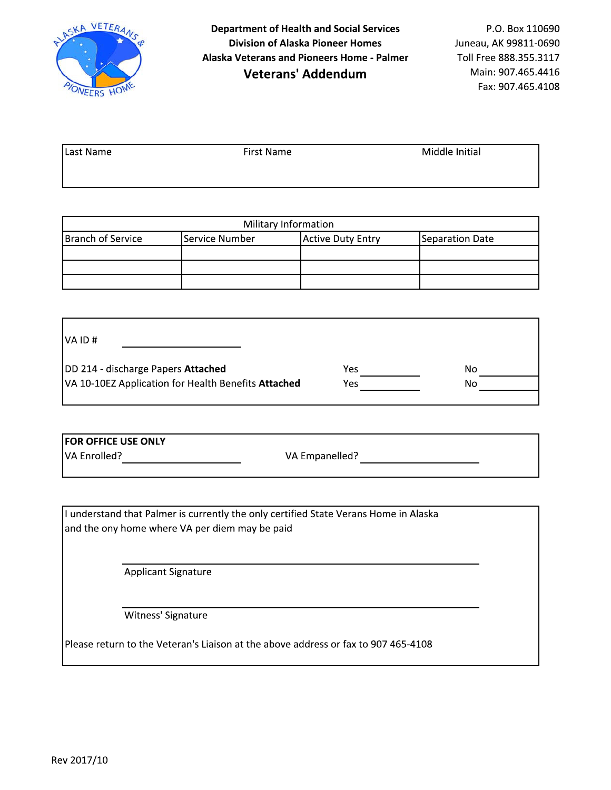

**Department of Health and Social Services Division of Alaska Pioneer Homes** Alaska Veterans and Pioneers Home - Palmer **Veterans' Addendum** 

P.O. Box 110690 Juneau, AK 99811-0690 Toll Free 888.355.3117 Main: 907.465.4416 Fax: 907.465.4108

| Last Name | First Name | Middle Initial |
|-----------|------------|----------------|
|           |            |                |

| Military Information |                |                   |                 |  |  |  |
|----------------------|----------------|-------------------|-----------------|--|--|--|
| Branch of Service    | Service Number | Active Duty Entry | Separation Date |  |  |  |
|                      |                |                   |                 |  |  |  |
|                      |                |                   |                 |  |  |  |
|                      |                |                   |                 |  |  |  |

| IVA ID#                                             |     |    |
|-----------------------------------------------------|-----|----|
| DD 214 - discharge Papers Attached                  | Yes | No |
| VA 10-10EZ Application for Health Benefits Attached | Yes | No |
|                                                     |     |    |

| <b>FOR OFFICE USE ONLY</b> |                |
|----------------------------|----------------|
| <b>IVA Enrolled?</b>       | VA Empanelled? |

I understand that Palmer is currently the only certified State Verans Home in Alaska and the ony home where VA per diem may be paid

Applicant Signature

Witness' Signature

Please return to the Veteran's Liaison at the above address or fax to 907 465-4108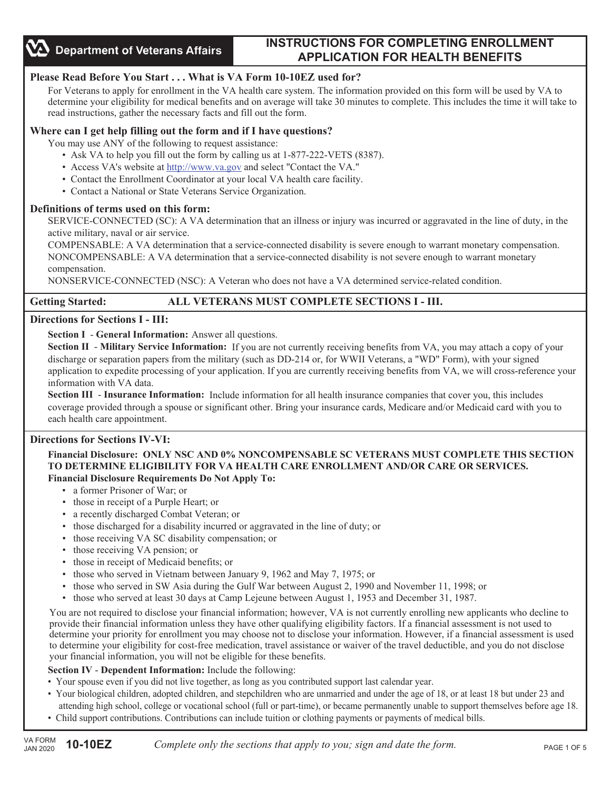# **INSTRUCTIONS FOR COMPLETING ENROLLMENT APPLICATION FOR HEALTH BENEFITS**

# **Please Read Before You Start . . . What is VA Form 10-10EZ used for?**

For Veterans to apply for enrollment in the VA health care system. The information provided on this form will be used by VA to determine your eligibility for medical benefits and on average will take 30 minutes to complete. This includes the time it will take to read instructions, gather the necessary facts and fill out the form.

# **Where can I get help filling out the form and if I have questions?**

You may use ANY of the following to request assistance:

- Ask VA to help you fill out the form by calling us at 1-877-222-VETS (8387).
- Access VA's website at http://www.va.gov and select "Contact the VA."
- Contact the Enrollment Coordinator at your local VA health care facility.
- Contact a National or State Veterans Service Organization.

# **Definitions of terms used on this form:**

SERVICE-CONNECTED (SC): A VA determination that an illness or injury was incurred or aggravated in the line of duty, in the active military, naval or air service.

COMPENSABLE: A VA determination that a service-connected disability is severe enough to warrant monetary compensation. NONCOMPENSABLE: A VA determination that a service-connected disability is not severe enough to warrant monetary compensation.

NONSERVICE-CONNECTED (NSC): A Veteran who does not have a VA determined service-related condition.

# **Getting Started: ALL VETERANS MUST COMPLETE SECTIONS I - III.**

# **Directions for Sections I - III:**

# **Section I** - **General Information:** Answer all questions.

**Section II** - **Military Service Information:** If you are not currently receiving benefits from VA, you may attach a copy of your discharge or separation papers from the military (such as DD-214 or, for WWII Veterans, a "WD" Form), with your signed application to expedite processing of your application. If you are currently receiving benefits from VA, we will cross-reference your information with VA data.

**Section III** - **Insurance Information:** Include information for all health insurance companies that cover you, this includes coverage provided through a spouse or significant other. Bring your insurance cards, Medicare and/or Medicaid card with you to each health care appointment.

# **Directions for Sections IV-VI:**

# **Financial Disclosure: ONLY NSC AND 0% NONCOMPENSABLE SC VETERANS MUST COMPLETE THIS SECTION TO DETERMINE ELIGIBILITY FOR VA HEALTH CARE ENROLLMENT AND/OR CARE OR SERVICES. Financial Disclosure Requirements Do Not Apply To:**

- a former Prisoner of War; or
- those in receipt of a Purple Heart; or
- a recently discharged Combat Veteran; or
- those discharged for a disability incurred or aggravated in the line of duty; or
- those receiving VA SC disability compensation; or
- those receiving VA pension; or
- those in receipt of Medicaid benefits; or
- those who served in Vietnam between January 9, 1962 and May 7, 1975; or
- • those who served in SW Asia during the Gulf War between August 2, 1990 and November 11, 1998; or
- those who served at least 30 days at Camp Lejeune between August 1, 1953 and December 31, 1987.

You are not required to disclose your financial information; however, VA is not currently enrolling new applicants who decline to provide their financial information unless they have other qualifying eligibility factors. If a financial assessment is not used to determine your priority for enrollment you may choose not to disclose your information. However, if a financial assessment is used to determine your eligibility for cost-free medication, travel assistance or waiver of the travel deductible, and you do not disclose your financial information, you will not be eligible for these benefits.

# **Section IV** - **Dependent Information:** Include the following:

- Your spouse even if you did not live together, as long as you contributed support last calendar year.
- Your biological children, adopted children, and stepchildren who are unmarried and under the age of 18, or at least 18 but under 23 and attending high school, college or vocational school (full or part-time), or became permanently unable to support themselves before age 18.
- Child support contributions. Contributions can include tuition or clothing payments or payments of medical bills.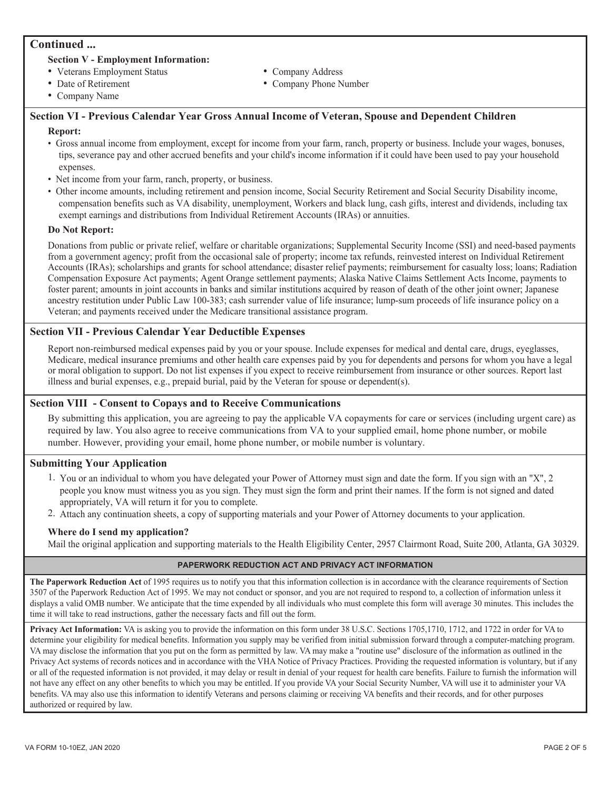# **Continued ...**

# **Section V - Employment Information:**

- Veterans Employment Status Company Address
- Date of Retirement
- Company Address
- Date of Retirement Company Phone Number
- Company Name

# **Section VI - Previous Calendar Year Gross Annual Income of Veteran, Spouse and Dependent Children**

#### **Report:**

- Gross annual income from employment, except for income from your farm, ranch, property or business. Include your wages, bonuses, tips, severance pay and other accrued benefits and your child's income information if it could have been used to pay your household expenses.
- Net income from your farm, ranch, property, or business.
- Other income amounts, including retirement and pension income, Social Security Retirement and Social Security Disability income, compensation benefits such as VA disability, unemployment, Workers and black lung, cash gifts, interest and dividends, including tax exempt earnings and distributions from Individual Retirement Accounts (IRAs) or annuities.

# **Do Not Report:**

Donations from public or private relief, welfare or charitable organizations; Supplemental Security Income (SSI) and need-based payments from a government agency; profit from the occasional sale of property; income tax refunds, reinvested interest on Individual Retirement Accounts (IRAs); scholarships and grants for school attendance; disaster relief payments; reimbursement for casualty loss; loans; Radiation Compensation Exposure Act payments; Agent Orange settlement payments; Alaska Native Claims Settlement Acts Income, payments to foster parent; amounts in joint accounts in banks and similar institutions acquired by reason of death of the other joint owner; Japanese ancestry restitution under Public Law 100-383; cash surrender value of life insurance; lump-sum proceeds of life insurance policy on a Veteran; and payments received under the Medicare transitional assistance program.

# **Section VII - Previous Calendar Year Deductible Expenses**

Report non-reimbursed medical expenses paid by you or your spouse. Include expenses for medical and dental care, drugs, eyeglasses, Medicare, medical insurance premiums and other health care expenses paid by you for dependents and persons for whom you have a legal or moral obligation to support. Do not list expenses if you expect to receive reimbursement from insurance or other sources. Report last illness and burial expenses, e.g., prepaid burial, paid by the Veteran for spouse or dependent(s).

# **Section VIII - Consent to Copays and to Receive Communications**

By submitting this application, you are agreeing to pay the applicable VA copayments for care or services (including urgent care) as required by law. You also agree to receive communications from VA to your supplied email, home phone number, or mobile number. However, providing your email, home phone number, or mobile number is voluntary.

# **Submitting Your Application**

- 1. You or an individual to whom you have delegated your Power of Attorney must sign and date the form. If you sign with an "X", 2 people you know must witness you as you sign. They must sign the form and print their names. If the form is not signed and dated appropriately, VA will return it for you to complete.
- 2. Attach any continuation sheets, a copy of supporting materials and your Power of Attorney documents to your application.

# **Where do I send my application?**

Mail the original application and supporting materials to the Health Eligibility Center, 2957 Clairmont Road, Suite 200, Atlanta, GA 30329.

#### **PAPERWORK REDUCTION ACT AND PRIVACY ACT INFORMATION**

**The Paperwork Reduction Act** of 1995 requires us to notify you that this information collection is in accordance with the clearance requirements of Section 3507 of the Paperwork Reduction Act of 1995. We may not conduct or sponsor, and you are not required to respond to, a collection of information unless it displays a valid OMB number. We anticipate that the time expended by all individuals who must complete this form will average 30 minutes. This includes the time it will take to read instructions, gather the necessary facts and fill out the form.

**Privacy Act Information:** VA is asking you to provide the information on this form under 38 U.S.C. Sections 1705,1710, 1712, and 1722 in order for VA to determine your eligibility for medical benefits. Information you supply may be verified from initial submission forward through a computer-matching program. VA may disclose the information that you put on the form as permitted by law. VA may make a "routine use" disclosure of the information as outlined in the Privacy Act systems of records notices and in accordance with the VHA Notice of Privacy Practices. Providing the requested information is voluntary, but if any or all of the requested information is not provided, it may delay or result in denial of your request for health care benefits. Failure to furnish the information will not have any effect on any other benefits to which you may be entitled. If you provide VA your Social Security Number, VA will use it to administer your VA benefits. VA may also use this information to identify Veterans and persons claiming or receiving VA benefits and their records, and for other purposes authorized or required by law.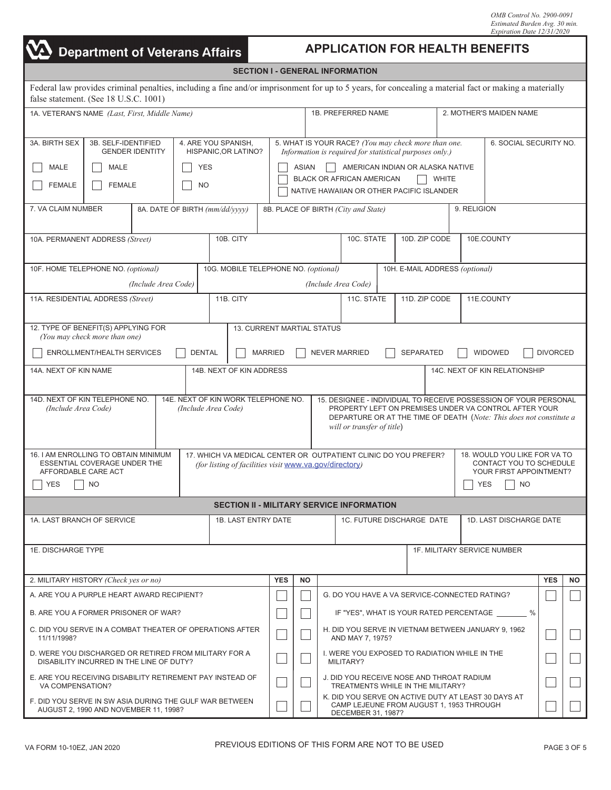|                                                                                                                                                                                                 |                                                                                                                                                                                                                                                                              |                     |  | <b>Department of Veterans Affairs</b>                                                                                                                                                                                                          | <b>APPLICATION FOR HEALTH BENEFITS</b>                                                 |                                                                                                                |           |                                                                                |                                     |                                               |                                                                                                 |                        |                                           |                             |            |           |
|-------------------------------------------------------------------------------------------------------------------------------------------------------------------------------------------------|------------------------------------------------------------------------------------------------------------------------------------------------------------------------------------------------------------------------------------------------------------------------------|---------------------|--|------------------------------------------------------------------------------------------------------------------------------------------------------------------------------------------------------------------------------------------------|----------------------------------------------------------------------------------------|----------------------------------------------------------------------------------------------------------------|-----------|--------------------------------------------------------------------------------|-------------------------------------|-----------------------------------------------|-------------------------------------------------------------------------------------------------|------------------------|-------------------------------------------|-----------------------------|------------|-----------|
|                                                                                                                                                                                                 | <b>SECTION I - GENERAL INFORMATION</b>                                                                                                                                                                                                                                       |                     |  |                                                                                                                                                                                                                                                |                                                                                        |                                                                                                                |           |                                                                                |                                     |                                               |                                                                                                 |                        |                                           |                             |            |           |
| Federal law provides criminal penalties, including a fine and/or imprisonment for up to 5 years, for concealing a material fact or making a materially<br>false statement. (See 18 U.S.C. 1001) |                                                                                                                                                                                                                                                                              |                     |  |                                                                                                                                                                                                                                                |                                                                                        |                                                                                                                |           |                                                                                |                                     |                                               |                                                                                                 |                        |                                           |                             |            |           |
|                                                                                                                                                                                                 | 1A. VETERAN'S NAME (Last, First, Middle Name)                                                                                                                                                                                                                                |                     |  |                                                                                                                                                                                                                                                |                                                                                        |                                                                                                                |           |                                                                                | 1B. PREFERRED NAME                  |                                               |                                                                                                 |                        | 2. MOTHER'S MAIDEN NAME                   |                             |            |           |
| 3A. BIRTH SEX                                                                                                                                                                                   | 3B. SELF-IDENTIFIED<br>4. ARE YOU SPANISH.<br><b>GENDER IDENTITY</b><br>HISPANIC, OR LATINO?                                                                                                                                                                                 |                     |  |                                                                                                                                                                                                                                                |                                                                                        | 5. WHAT IS YOUR RACE? (You may check more than one.<br>Information is required for statistical purposes only.) |           |                                                                                |                                     |                                               |                                                                                                 | 6. SOCIAL SECURITY NO. |                                           |                             |            |           |
| MALE                                                                                                                                                                                            | <b>MALE</b>                                                                                                                                                                                                                                                                  |                     |  | <b>YES</b>                                                                                                                                                                                                                                     |                                                                                        |                                                                                                                | ASIAN     |                                                                                |                                     |                                               | AMERICAN INDIAN OR ALASKA NATIVE                                                                |                        |                                           |                             |            |           |
| <b>FEMALE</b>                                                                                                                                                                                   | <b>FEMALE</b>                                                                                                                                                                                                                                                                |                     |  | <b>NO</b>                                                                                                                                                                                                                                      | BLACK OR AFRICAN AMERICAN<br><b>WHITE</b><br>NATIVE HAWAIIAN OR OTHER PACIFIC ISLANDER |                                                                                                                |           |                                                                                |                                     |                                               |                                                                                                 |                        |                                           |                             |            |           |
| 7. VA CLAIM NUMBER                                                                                                                                                                              |                                                                                                                                                                                                                                                                              |                     |  | 8A. DATE OF BIRTH (mm/dd/yyyy)                                                                                                                                                                                                                 |                                                                                        |                                                                                                                |           |                                                                                | 8B. PLACE OF BIRTH (City and State) |                                               |                                                                                                 | 9. RELIGION            |                                           |                             |            |           |
| 10A. PERMANENT ADDRESS (Street)                                                                                                                                                                 |                                                                                                                                                                                                                                                                              |                     |  | 10B. CITY                                                                                                                                                                                                                                      |                                                                                        |                                                                                                                |           |                                                                                | 10C. STATE                          |                                               | 10D. ZIP CODE                                                                                   | 10E.COUNTY             |                                           |                             |            |           |
| 10F. HOME TELEPHONE NO. (optional)                                                                                                                                                              |                                                                                                                                                                                                                                                                              |                     |  | 10G. MOBILE TELEPHONE NO. (optional)                                                                                                                                                                                                           |                                                                                        |                                                                                                                |           |                                                                                |                                     |                                               | 10H. E-MAIL ADDRESS (optional)                                                                  |                        |                                           |                             |            |           |
|                                                                                                                                                                                                 |                                                                                                                                                                                                                                                                              | (Include Area Code) |  |                                                                                                                                                                                                                                                |                                                                                        |                                                                                                                |           |                                                                                | (Include Area Code)                 |                                               |                                                                                                 |                        |                                           |                             |            |           |
| 11A. RESIDENTIAL ADDRESS (Street)                                                                                                                                                               | 11B. CITY<br>11D. ZIP CODE<br>11E.COUNTY<br>11C. STATE                                                                                                                                                                                                                       |                     |  |                                                                                                                                                                                                                                                |                                                                                        |                                                                                                                |           |                                                                                |                                     |                                               |                                                                                                 |                        |                                           |                             |            |           |
| 12. TYPE OF BENEFIT(S) APPLYING FOR<br>(You may check more than one)                                                                                                                            |                                                                                                                                                                                                                                                                              |                     |  | 13. CURRENT MARTIAL STATUS                                                                                                                                                                                                                     |                                                                                        |                                                                                                                |           |                                                                                |                                     |                                               |                                                                                                 |                        |                                           |                             |            |           |
|                                                                                                                                                                                                 | ENROLLMENT/HEALTH SERVICES<br><b>DENTAL</b><br><b>MARRIED</b><br><b>NEVER MARRIED</b><br><b>SEPARATED</b><br><b>WIDOWED</b><br><b>DIVORCED</b>                                                                                                                               |                     |  |                                                                                                                                                                                                                                                |                                                                                        |                                                                                                                |           |                                                                                |                                     |                                               |                                                                                                 |                        |                                           |                             |            |           |
|                                                                                                                                                                                                 | 14A. NEXT OF KIN NAME<br>14B. NEXT OF KIN ADDRESS<br>14C. NEXT OF KIN RELATIONSHIP                                                                                                                                                                                           |                     |  |                                                                                                                                                                                                                                                |                                                                                        |                                                                                                                |           |                                                                                |                                     |                                               |                                                                                                 |                        |                                           |                             |            |           |
| 14D. NEXT OF KIN TELEPHONE NO.                                                                                                                                                                  |                                                                                                                                                                                                                                                                              |                     |  | 14E. NEXT OF KIN WORK TELEPHONE NO.                                                                                                                                                                                                            |                                                                                        |                                                                                                                |           |                                                                                |                                     |                                               |                                                                                                 |                        |                                           |                             |            |           |
|                                                                                                                                                                                                 | 15. DESIGNEE - INDIVIDUAL TO RECEIVE POSSESSION OF YOUR PERSONAL<br>PROPERTY LEFT ON PREMISES UNDER VA CONTROL AFTER YOUR<br>(Include Area Code)<br>(Include Area Code)<br>DEPARTURE OR AT THE TIME OF DEATH (Note: This does not constitute a<br>will or transfer of title) |                     |  |                                                                                                                                                                                                                                                |                                                                                        |                                                                                                                |           |                                                                                |                                     |                                               |                                                                                                 |                        |                                           |                             |            |           |
| 16. I AM ENROLLING TO OBTAIN MINIMUM<br>ESSENTIAL COVERAGE UNDER THE<br>AFFORDABLE CARE ACT<br>$YES$ NO                                                                                         |                                                                                                                                                                                                                                                                              |                     |  | 18. WOULD YOU LIKE FOR VA TO<br>17. WHICH VA MEDICAL CENTER OR OUTPATIENT CLINIC DO YOU PREFER?<br>CONTACT YOU TO SCHEDULE<br><i>(for listing of facilities visit www.va.gov/directory)</i><br>YOUR FIRST APPOINTMENT?<br>$\Box$ YES $\Box$ NO |                                                                                        |                                                                                                                |           |                                                                                |                                     |                                               |                                                                                                 |                        |                                           |                             |            |           |
|                                                                                                                                                                                                 | <b>SECTION II - MILITARY SERVICE INFORMATION</b>                                                                                                                                                                                                                             |                     |  |                                                                                                                                                                                                                                                |                                                                                        |                                                                                                                |           |                                                                                |                                     |                                               |                                                                                                 |                        |                                           |                             |            |           |
| 1A. LAST BRANCH OF SERVICE                                                                                                                                                                      |                                                                                                                                                                                                                                                                              |                     |  | 1B. LAST ENTRY DATE                                                                                                                                                                                                                            |                                                                                        |                                                                                                                |           |                                                                                |                                     |                                               | 1C. FUTURE DISCHARGE DATE                                                                       |                        |                                           | 1D. LAST DISCHARGE DATE     |            |           |
| <b>1E. DISCHARGE TYPE</b>                                                                                                                                                                       |                                                                                                                                                                                                                                                                              |                     |  |                                                                                                                                                                                                                                                |                                                                                        |                                                                                                                |           |                                                                                |                                     |                                               |                                                                                                 |                        |                                           | 1F. MILITARY SERVICE NUMBER |            |           |
| 2. MILITARY HISTORY (Check yes or no)                                                                                                                                                           |                                                                                                                                                                                                                                                                              |                     |  |                                                                                                                                                                                                                                                | <b>YES</b>                                                                             |                                                                                                                | <b>NO</b> |                                                                                |                                     |                                               |                                                                                                 |                        |                                           |                             | <b>YES</b> | <b>NO</b> |
| A. ARE YOU A PURPLE HEART AWARD RECIPIENT?                                                                                                                                                      |                                                                                                                                                                                                                                                                              |                     |  |                                                                                                                                                                                                                                                |                                                                                        |                                                                                                                |           |                                                                                |                                     | G. DO YOU HAVE A VA SERVICE-CONNECTED RATING? |                                                                                                 |                        |                                           |                             |            |           |
| B. ARE YOU A FORMER PRISONER OF WAR?                                                                                                                                                            |                                                                                                                                                                                                                                                                              |                     |  |                                                                                                                                                                                                                                                |                                                                                        |                                                                                                                |           |                                                                                |                                     |                                               |                                                                                                 |                        | IF "YES", WHAT IS YOUR RATED PERCENTAGE % |                             |            |           |
| C. DID YOU SERVE IN A COMBAT THEATER OF OPERATIONS AFTER<br>11/11/1998?                                                                                                                         |                                                                                                                                                                                                                                                                              |                     |  |                                                                                                                                                                                                                                                |                                                                                        |                                                                                                                |           |                                                                                | AND MAY 7, 1975?                    |                                               | H. DID YOU SERVE IN VIETNAM BETWEEN JANUARY 9, 1962                                             |                        |                                           |                             |            |           |
| D. WERE YOU DISCHARGED OR RETIRED FROM MILITARY FOR A<br>DISABILITY INCURRED IN THE LINE OF DUTY?                                                                                               |                                                                                                                                                                                                                                                                              |                     |  |                                                                                                                                                                                                                                                |                                                                                        |                                                                                                                |           |                                                                                | MILITARY?                           |                                               | I. WERE YOU EXPOSED TO RADIATION WHILE IN THE                                                   |                        |                                           |                             |            |           |
|                                                                                                                                                                                                 | E. ARE YOU RECEIVING DISABILITY RETIREMENT PAY INSTEAD OF<br>VA COMPENSATION?                                                                                                                                                                                                |                     |  |                                                                                                                                                                                                                                                |                                                                                        |                                                                                                                |           | J. DID YOU RECEIVE NOSE AND THROAT RADIUM<br>TREATMENTS WHILE IN THE MILITARY? |                                     |                                               |                                                                                                 |                        |                                           |                             |            |           |
| F. DID YOU SERVE IN SW ASIA DURING THE GULF WAR BETWEEN<br>AUGUST 2, 1990 AND NOVEMBER 11, 1998?                                                                                                |                                                                                                                                                                                                                                                                              |                     |  |                                                                                                                                                                                                                                                |                                                                                        |                                                                                                                |           |                                                                                | DECEMBER 31, 1987?                  |                                               | K. DID YOU SERVE ON ACTIVE DUTY AT LEAST 30 DAYS AT<br>CAMP LEJEUNE FROM AUGUST 1, 1953 THROUGH |                        |                                           |                             |            |           |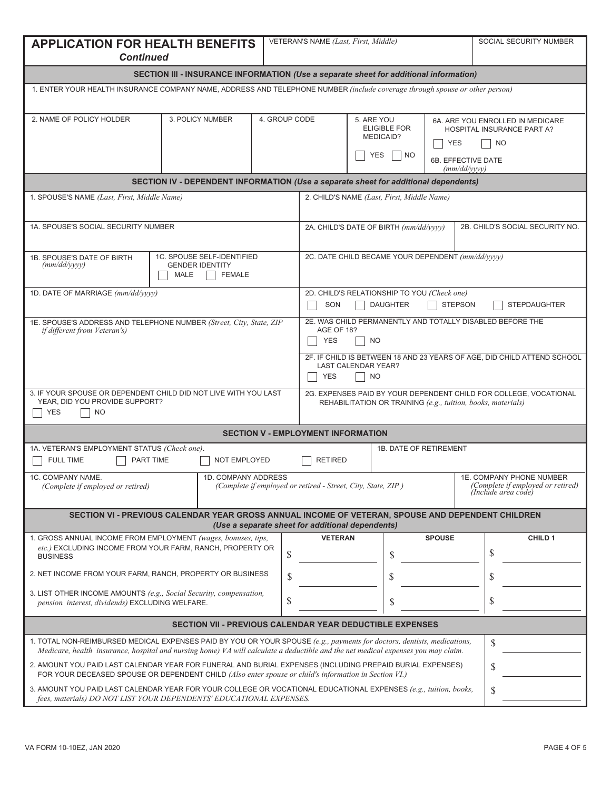| <b>APPLICATION FOR HEALTH BENEFITS</b><br><b>Continued</b>                                                                                                                                                                                                   |                                                                                       | VETERAN'S NAME (Last, First, Middle)                                                                                              |                                                                                                                                  | SOCIAL SECURITY NUMBER                                                    |                               |                                                                                                                   |  |  |
|--------------------------------------------------------------------------------------------------------------------------------------------------------------------------------------------------------------------------------------------------------------|---------------------------------------------------------------------------------------|-----------------------------------------------------------------------------------------------------------------------------------|----------------------------------------------------------------------------------------------------------------------------------|---------------------------------------------------------------------------|-------------------------------|-------------------------------------------------------------------------------------------------------------------|--|--|
|                                                                                                                                                                                                                                                              | SECTION III - INSURANCE INFORMATION (Use a separate sheet for additional information) |                                                                                                                                   |                                                                                                                                  |                                                                           |                               |                                                                                                                   |  |  |
| 1. ENTER YOUR HEALTH INSURANCE COMPANY NAME, ADDRESS AND TELEPHONE NUMBER (include coverage through spouse or other person)                                                                                                                                  |                                                                                       |                                                                                                                                   |                                                                                                                                  |                                                                           |                               |                                                                                                                   |  |  |
| 2. NAME OF POLICY HOLDER                                                                                                                                                                                                                                     | 3. POLICY NUMBER                                                                      | 4. GROUP CODE                                                                                                                     |                                                                                                                                  | 5. ARE YOU<br><b>ELIGIBLE FOR</b><br>MEDICAID?<br><b>YES</b><br><b>NO</b> | <b>YES</b>                    | 6A. ARE YOU ENROLLED IN MEDICARE<br>HOSPITAL INSURANCE PART A?<br><b>NO</b><br>6B. EFFECTIVE DATE<br>(mm/dd/vvvv) |  |  |
|                                                                                                                                                                                                                                                              | SECTION IV - DEPENDENT INFORMATION (Use a separate sheet for additional dependents)   |                                                                                                                                   |                                                                                                                                  |                                                                           |                               |                                                                                                                   |  |  |
| 1. SPOUSE'S NAME (Last, First, Middle Name)                                                                                                                                                                                                                  |                                                                                       |                                                                                                                                   | 2. CHILD'S NAME (Last, First, Middle Name)                                                                                       |                                                                           |                               |                                                                                                                   |  |  |
| 1A. SPOUSE'S SOCIAL SECURITY NUMBER                                                                                                                                                                                                                          |                                                                                       |                                                                                                                                   |                                                                                                                                  | 2A. CHILD'S DATE OF BIRTH (mm/dd/yyyy)                                    |                               | 2B. CHILD'S SOCIAL SECURITY NO.                                                                                   |  |  |
| 1B. SPOUSE'S DATE OF BIRTH<br>(mm/dd/yyyy)                                                                                                                                                                                                                   | 1C. SPOUSE SELF-IDENTIFIED<br><b>GENDER IDENTITY</b><br>MALE<br><b>FEMALE</b>         |                                                                                                                                   |                                                                                                                                  | 2C. DATE CHILD BECAME YOUR DEPENDENT (mm/dd/vvvv)                         |                               |                                                                                                                   |  |  |
| 1D. DATE OF MARRIAGE (mm/dd/vvvv)                                                                                                                                                                                                                            |                                                                                       |                                                                                                                                   | SON                                                                                                                              | 2D. CHILD'S RELATIONSHIP TO YOU (Check one)<br><b>DAUGHTER</b>            |                               | <b>STEPSON</b><br><b>STEPDAUGHTER</b>                                                                             |  |  |
| 1E. SPOUSE'S ADDRESS AND TELEPHONE NUMBER (Street, City, State, ZIP<br>if different from Veteran's)                                                                                                                                                          |                                                                                       | 2E. WAS CHILD PERMANENTLY AND TOTALLY DISABLED BEFORE THE<br>AGE OF 18?<br><b>YES</b><br><b>NO</b>                                |                                                                                                                                  |                                                                           |                               |                                                                                                                   |  |  |
|                                                                                                                                                                                                                                                              |                                                                                       |                                                                                                                                   | 2F. IF CHILD IS BETWEEN 18 AND 23 YEARS OF AGE, DID CHILD ATTEND SCHOOL<br><b>LAST CALENDAR YEAR?</b><br><b>NO</b><br><b>YES</b> |                                                                           |                               |                                                                                                                   |  |  |
| 3. IF YOUR SPOUSE OR DEPENDENT CHILD DID NOT LIVE WITH YOU LAST<br>YEAR, DID YOU PROVIDE SUPPORT?<br><b>YES</b><br><b>NO</b>                                                                                                                                 |                                                                                       | 2G. EXPENSES PAID BY YOUR DEPENDENT CHILD FOR COLLEGE, VOCATIONAL<br>REHABILITATION OR TRAINING (e.g., tuition, books, materials) |                                                                                                                                  |                                                                           |                               |                                                                                                                   |  |  |
|                                                                                                                                                                                                                                                              |                                                                                       | <b>SECTION V - EMPLOYMENT INFORMATION</b>                                                                                         |                                                                                                                                  |                                                                           |                               |                                                                                                                   |  |  |
| 1A. VETERAN'S EMPLOYMENT STATUS (Check one).<br><b>FULL TIME</b><br><b>PART TIME</b>                                                                                                                                                                         |                                                                                       | NOT EMPLOYED                                                                                                                      | <b>RETIRED</b>                                                                                                                   |                                                                           | <b>1B. DATE OF RETIREMENT</b> |                                                                                                                   |  |  |
| 1C. COMPANY NAME.<br>(Complete if employed or retired)                                                                                                                                                                                                       |                                                                                       | 1D. COMPANY ADDRESS<br>(Complete if employed or retired - Street, City, State, ZIP)                                               |                                                                                                                                  |                                                                           |                               | 1E. COMPANY PHONE NUMBER<br>(Complete if employed or retired)<br>(Include area code)                              |  |  |
| SECTION VI - PREVIOUS CALENDAR YEAR GROSS ANNUAL INCOME OF VETERAN, SPOUSE AND DEPENDENT CHILDREN<br>(Use a separate sheet for additional dependents)                                                                                                        |                                                                                       |                                                                                                                                   |                                                                                                                                  |                                                                           |                               |                                                                                                                   |  |  |
| 1. GROSS ANNUAL INCOME FROM EMPLOYMENT (wages, bonuses, tips,<br>etc.) EXCLUDING INCOME FROM YOUR FARM, RANCH, PROPERTY OR<br><b>BUSINESS</b>                                                                                                                |                                                                                       | \$                                                                                                                                | <b>VETERAN</b>                                                                                                                   | \$                                                                        | <b>SPOUSE</b>                 | CHILD <sub>1</sub><br>\$                                                                                          |  |  |
| 2. NET INCOME FROM YOUR FARM, RANCH, PROPERTY OR BUSINESS                                                                                                                                                                                                    | \$                                                                                    |                                                                                                                                   | \$                                                                                                                               | \$                                                                        |                               |                                                                                                                   |  |  |
| 3. LIST OTHER INCOME AMOUNTS (e.g., Social Security, compensation,<br>pension interest, dividends) EXCLUDING WELFARE.                                                                                                                                        |                                                                                       | \$<br>\$                                                                                                                          |                                                                                                                                  |                                                                           |                               |                                                                                                                   |  |  |
|                                                                                                                                                                                                                                                              | <b>SECTION VII - PREVIOUS CALENDAR YEAR DEDUCTIBLE EXPENSES</b>                       |                                                                                                                                   |                                                                                                                                  |                                                                           |                               |                                                                                                                   |  |  |
| 1. TOTAL NON-REIMBURSED MEDICAL EXPENSES PAID BY YOU OR YOUR SPOUSE (e.g., payments for doctors, dentists, medications,<br>Medicare, health insurance, hospital and nursing home) VA will calculate a deductible and the net medical expenses you may claim. |                                                                                       |                                                                                                                                   |                                                                                                                                  |                                                                           |                               | \$                                                                                                                |  |  |
| 2. AMOUNT YOU PAID LAST CALENDAR YEAR FOR FUNERAL AND BURIAL EXPENSES (INCLUDING PREPAID BURIAL EXPENSES)<br>FOR YOUR DECEASED SPOUSE OR DEPENDENT CHILD (Also enter spouse or child's information in Section VI.)                                           |                                                                                       |                                                                                                                                   |                                                                                                                                  |                                                                           |                               | \$                                                                                                                |  |  |
| 3. AMOUNT YOU PAID LAST CALENDAR YEAR FOR YOUR COLLEGE OR VOCATIONAL EDUCATIONAL EXPENSES (e.g., tuition, books,<br>fees, materials) DO NOT LIST YOUR DEPENDENTS' EDUCATIONAL EXPENSES.                                                                      | \$                                                                                    |                                                                                                                                   |                                                                                                                                  |                                                                           |                               |                                                                                                                   |  |  |